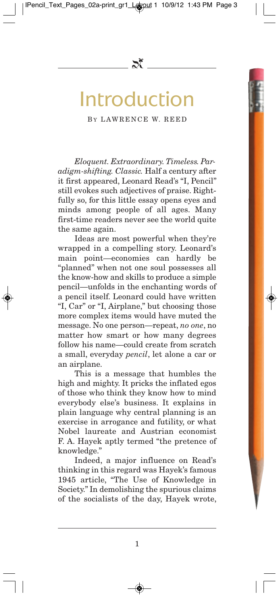$\mathbb{R}^n$ 

## Introductio

BY LAWRENCE W. REED

*Eloquent. Extraordinary.Timeless. Paradigm-shifting. Classic.* Half a century after it first appeared, Leonard Read's "I, Pencil" still evokes such adjectives of praise. Rightfully so, for this little essay opens eyes and minds among people of all ages. Many first-time readers never see the world quite the same again.

Ideas are most powerful when they're wrapped in a compelling story. Leonard's main point—economies can hardly be "planned" when not one soul possesses all the know-how and skills to produce a simple pencil—unfolds in the enchanting words of a pencil itself. Leonard could have written "I, Car" or "I, Airplane," but choosing those more complex items would have muted the message. No one person—repeat, *no one*, no matter how smart or how many degrees follow his name—could create from scratch a small, everyday *pencil*, let alone a car or an airplane.

This is a message that humbles the high and mighty. It pricks the inflated egos of those who think they know how to mind everybody else's business. It explains in plain language why central planning is an exercise in arrogance and futility, or what Nobel laureate and Austrian economist F. A. Hayek aptly termed "the pretence of knowledge."

Indeed, a major influence on Read's thinking in this regard was Hayek's famous 1945 article, "The Use of Knowledge in Society." In demolishing the spurious claims of the socialists of the day, Hayek wrote,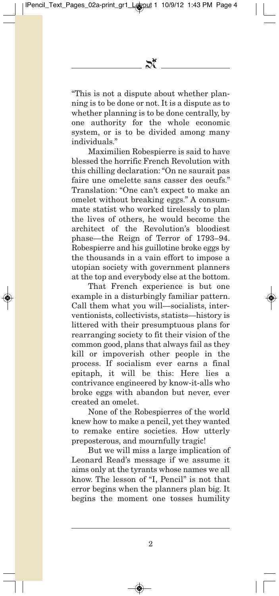"This is not a dispute about whether planning is to be done or not. It is a dispute as to whether planning is to be done centrally, by one authority for the whole economic system, or is to be divided among many individuals."

Maximilien Robespierre is said to have blessed the horrific French Revolution with this chilling declaration:"On ne saurait pas faire une omelette sans casser des oeufs." Translation: "One can't expect to make an omelet without breaking eggs." A consummate statist who worked tirelessly to plan the lives of others, he would become the architect of the Revolution's bloodiest phase—the Reign of Terror of 1793–94. Robespierre and his guillotine broke eggs by the thousands in a vain effort to impose a utopian society with government planners at the top and everybody else at the bottom.

That French experience is but one example in a disturbingly familiar pattern. Call them what you will—socialists, interventionists, collectivists, statists—history is littered with their presumptuous plans for rearranging society to fit their vision of the common good, plans that always fail as they kill or impoverish other people in the process. If socialism ever earns a final epitaph, it will be this: Here lies a contrivance engineered by know-it-alls who broke eggs with abandon but never, ever created an omelet.

None of the Robespierres of the world knew how to make a pencil, yet they wanted to remake entire societies. How utterly preposterous, and mournfully tragic!

But we will miss a large implication of Leonard Read's message if we assume it aims only at the tyrants whose names we all know. The lesson of "I, Pencil" is not that error begins when the planners plan big. It begins the moment one tosses humility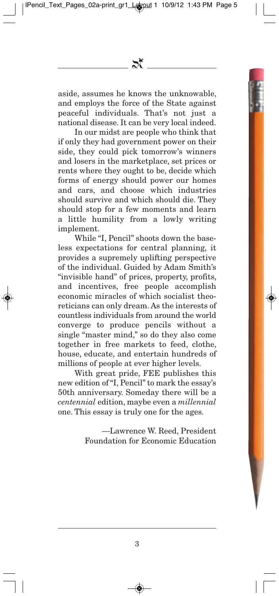aside, assumes he knows the unknowable, and employs the force of the State against peaceful individuals. That's not just a national disease. It can be very local indeed.

 $\mathbb{R}^n$ 

In our midst are people who think that if only they had government power on their side, they could pick tomorrow's winners and losers in the marketplace, set prices or rents where they ought to be, decide which forms of energy should power our homes and cars, and choose which industries should survive and which should die. They should stop for a few moments and learn a little humility from a lowly writing implement.

While "I, Pencil" shoots down the baseless expectations for central planning, it provides a supremely uplifting perspective of the individual. Guided by Adam Smith's "invisible hand" of prices, property, profits, and incentives, free people accomplish economic miracles of which socialist theoreticians can only dream. As the interests of countless individuals from around the world converge to produce pencils without a single "master mind," so do they also come together in free markets to feed, clothe, house, educate, and entertain hundreds of millions of people at ever higher levels.

With great pride, FEE publishes this new edition of "I, Pencil" to mark the essay's 50th anniversary. Someday there will be a *centennial* edition, maybe even a *millennial* one. This essay is truly one for the ages.

> —Lawrence W. Reed, President Foundation for Economic Education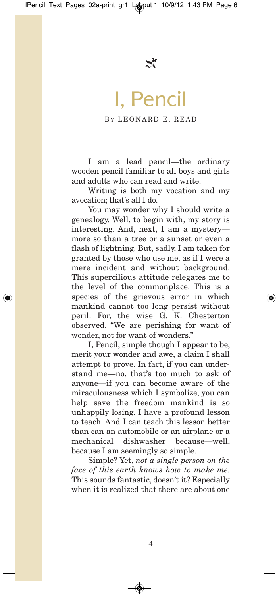$\mathbb{R}^n$ 

### I, Pencil

### BY LEONARD E. READ

I am a lead pencil—the ordinary wooden pencil familiar to all boys and girls and adults who can read and write.

Writing is both my vocation and my avocation; that's all I do.

You may wonder why I should write a genealogy. Well, to begin with, my story is interesting. And, next, I am a mystery more so than a tree or a sunset or even a flash of lightning. But, sadly, I am taken for granted by those who use me, as if I were a mere incident and without background. This supercilious attitude relegates me to the level of the commonplace. This is a species of the grievous error in which mankind cannot too long persist without peril. For, the wise G. K. Chesterton observed, "We are perishing for want of wonder, not for want of wonders."

I, Pencil, simple though I appear to be, merit your wonder and awe, a claim I shall attempt to prove. In fact, if you can understand me—no, that's too much to ask of anyone—if you can become aware of the miraculousness which I symbolize, you can help save the freedom mankind is so unhappily losing. I have a profound lesson to teach. And I can teach this lesson better than can an automobile or an airplane or a mechanical dishwasher because—well, because I am seemingly so simple.

Simple? Yet, *not a single person on the face of this earth knows how to make me.* This sounds fantastic, doesn't it? Especially when it is realized that there are about one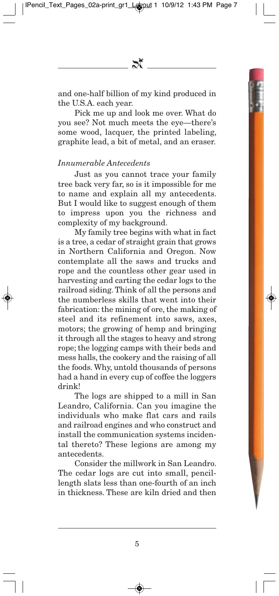and one-half billion of my kind produced in the U.S.A. each year.

Pick me up and look me over. What do you see? Not much meets the eye—there's some wood, lacquer, the printed labeling, graphite lead, a bit of metal, and an eraser.

#### *Innumerable Antecedents*

Just as you cannot trace your family tree back very far, so is it impossible for me to name and explain all my antecedents. But I would like to suggest enough of them to impress upon you the richness and complexity of my background.

My family tree begins with what in fact is a tree, a cedar of straight grain that grows in Northern California and Oregon. Now contemplate all the saws and trucks and rope and the countless other gear used in harvesting and carting the cedar logs to the railroad siding.Think of all the persons and the numberless skills that went into their fabrication: the mining of ore, the making of steel and its refinement into saws, axes, motors; the growing of hemp and bringing it through all the stages to heavy and strong rope; the logging camps with their beds and mess halls, the cookery and the raising of all the foods. Why, untold thousands of persons had a hand in every cup of coffee the loggers drink!

The logs are shipped to a mill in San Leandro, California. Can you imagine the individuals who make flat cars and rails and railroad engines and who construct and install the communication systems incidental thereto? These legions are among my antecedents.

Consider the millwork in San Leandro. The cedar logs are cut into small, pencillength slats less than one-fourth of an inch in thickness. These are kiln dried and then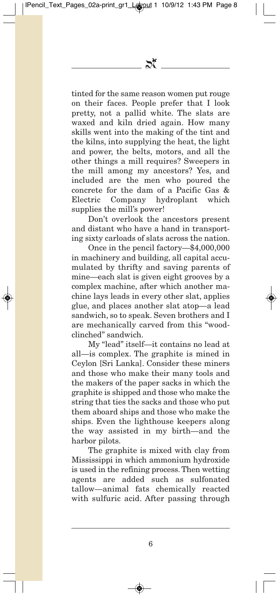tinted for the same reason women put rouge on their faces. People prefer that I look pretty, not a pallid white. The slats are waxed and kiln dried again. How many skills went into the making of the tint and the kilns, into supplying the heat, the light and power, the belts, motors, and all the other things a mill requires? Sweepers in the mill among my ancestors? Yes, and included are the men who poured the concrete for the dam of a Pacific Gas & Electric Company hydroplant which supplies the mill's power!

Don't overlook the ancestors present and distant who have a hand in transporting sixty carloads of slats across the nation.

Once in the pencil factory—\$4,000,000 in machinery and building, all capital accumulated by thrifty and saving parents of mine—each slat is given eight grooves by a complex machine, after which another machine lays leads in every other slat, applies glue, and places another slat atop—a lead sandwich, so to speak. Seven brothers and I are mechanically carved from this "woodclinched" sandwich.

My "lead" itself—it contains no lead at all—is complex. The graphite is mined in Ceylon [Sri Lanka]. Consider these miners and those who make their many tools and the makers of the paper sacks in which the graphite is shipped and those who make the string that ties the sacks and those who put them aboard ships and those who make the ships. Even the lighthouse keepers along the way assisted in my birth—and the harbor pilots.

The graphite is mixed with clay from Mississippi in which ammonium hydroxide is used in the refining process.Then wetting agents are added such as sulfonated tallow—animal fats chemically reacted with sulfuric acid. After passing through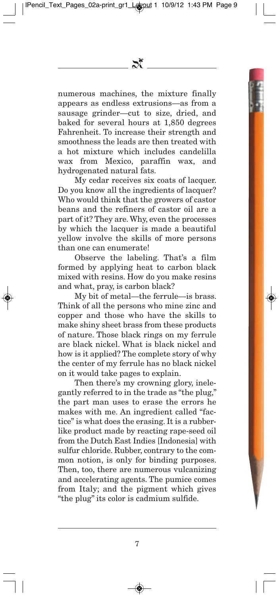numerous machines, the mixture finally appears as endless extrusions—as from a sausage grinder—cut to size, dried, and baked for several hours at 1,850 degrees Fahrenheit. To increase their strength and smoothness the leads are then treated with a hot mixture which includes candelilla wax from Mexico, paraffin wax, and hydrogenated natural fats.

My cedar receives six coats of lacquer. Do you know all the ingredients of lacquer? Who would think that the growers of castor beans and the refiners of castor oil are a part of it? They are.Why, even the processes by which the lacquer is made a beautiful yellow involve the skills of more persons than one can enumerate!

Observe the labeling. That's a film formed by applying heat to carbon black mixed with resins. How do you make resins and what, pray, is carbon black?

My bit of metal—the ferrule—is brass. Think of all the persons who mine zinc and copper and those who have the skills to make shiny sheet brass from these products of nature. Those black rings on my ferrule are black nickel. What is black nickel and how is it applied? The complete story of why the center of my ferrule has no black nickel on it would take pages to explain.

Then there's my crowning glory, inelegantly referred to in the trade as "the plug," the part man uses to erase the errors he makes with me. An ingredient called "factice" is what does the erasing. It is a rubberlike product made by reacting rape-seed oil from the Dutch East Indies [Indonesia] with sulfur chloride. Rubber, contrary to the common notion, is only for binding purposes. Then, too, there are numerous vulcanizing and accelerating agents. The pumice comes from Italy; and the pigment which gives "the plug" its color is cadmium sulfide.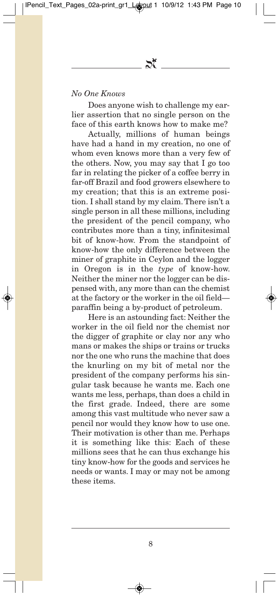### *No One Knows*

Does anyone wish to challenge my earlier assertion that no single person on the face of this earth knows how to make me?

Actually, millions of human beings have had a hand in my creation, no one of whom even knows more than a very few of the others. Now, you may say that I go too far in relating the picker of a coffee berry in far-off Brazil and food growers elsewhere to my creation; that this is an extreme position. I shall stand by my claim.There isn't a single person in all these millions, including the president of the pencil company, who contributes more than a tiny, infinitesimal bit of know-how. From the standpoint of know-how the only difference between the miner of graphite in Ceylon and the logger in Oregon is in the *type* of know-how. Neither the miner nor the logger can be dispensed with, any more than can the chemist at the factory or the worker in the oil field paraffin being a by-product of petroleum.

Here is an astounding fact: Neither the worker in the oil field nor the chemist nor the digger of graphite or clay nor any who mans or makes the ships or trains or trucks nor the one who runs the machine that does the knurling on my bit of metal nor the president of the company performs his singular task because he wants me. Each one wants me less, perhaps, than does a child in the first grade. Indeed, there are some among this vast multitude who never saw a pencil nor would they know how to use one. Their motivation is other than me. Perhaps it is something like this: Each of these millions sees that he can thus exchange his tiny know-how for the goods and services he needs or wants. I may or may not be among these items.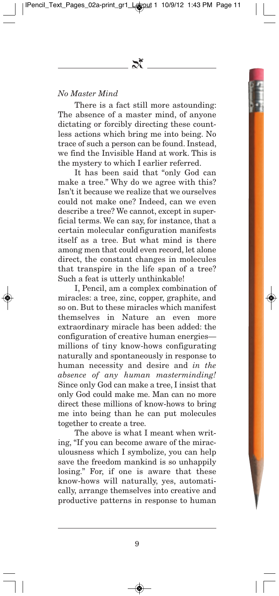### *No Master Mind*

There is a fact still more astounding: The absence of a master mind, of anyone dictating or forcibly directing these countless actions which bring me into being. No trace of such a person can be found. Instead, we find the Invisible Hand at work. This is the mystery to which I earlier referred.

It has been said that "only God can make a tree." Why do we agree with this? Isn't it because we realize that we ourselves could not make one? Indeed, can we even describe a tree? We cannot, except in superficial terms. We can say, for instance, that a certain molecular configuration manifests itself as a tree. But what mind is there among men that could even record, let alone direct, the constant changes in molecules that transpire in the life span of a tree? Such a feat is utterly unthinkable!

I, Pencil, am a complex combination of miracles: a tree, zinc, copper, graphite, and so on. But to these miracles which manifest themselves in Nature an even more extraordinary miracle has been added: the configuration of creative human energies millions of tiny know-hows configurating naturally and spontaneously in response to human necessity and desire and *in the absence of any human masterminding!* Since only God can make a tree, I insist that only God could make me. Man can no more direct these millions of know-hows to bring me into being than he can put molecules together to create a tree.

The above is what I meant when writing, "If you can become aware of the miraculousness which I symbolize, you can help save the freedom mankind is so unhappily losing." For, if one is aware that these know-hows will naturally, yes, automatically, arrange themselves into creative and productive patterns in response to human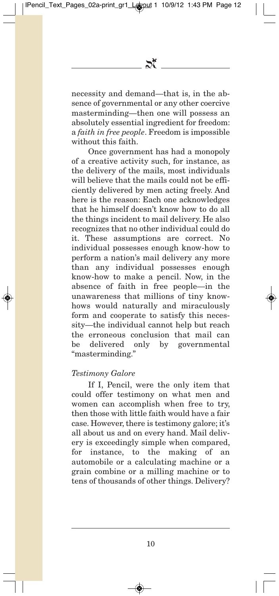necessity and demand—that is, in the absence of governmental or any other coercive masterminding—then one will possess an absolutely essential ingredient for freedom: a *faith in free people*. Freedom is impossible without this faith.

Once government has had a monopoly of a creative activity such, for instance, as the delivery of the mails, most individuals will believe that the mails could not be efficiently delivered by men acting freely. And here is the reason: Each one acknowledges that he himself doesn't know how to do all the things incident to mail delivery. He also recognizes that no other individual could do it. These assumptions are correct. No individual possesses enough know-how to perform a nation's mail delivery any more than any individual possesses enough know-how to make a pencil. Now, in the absence of faith in free people—in the unawareness that millions of tiny knowhows would naturally and miraculously form and cooperate to satisfy this necessity—the individual cannot help but reach the erroneous conclusion that mail can be delivered only by governmental "masterminding."

#### *Testimony Galore*

If I, Pencil, were the only item that could offer testimony on what men and women can accomplish when free to try, then those with little faith would have a fair case. However, there is testimony galore; it's all about us and on every hand. Mail delivery is exceedingly simple when compared, for instance, to the making of an automobile or a calculating machine or a grain combine or a milling machine or to tens of thousands of other things. Delivery?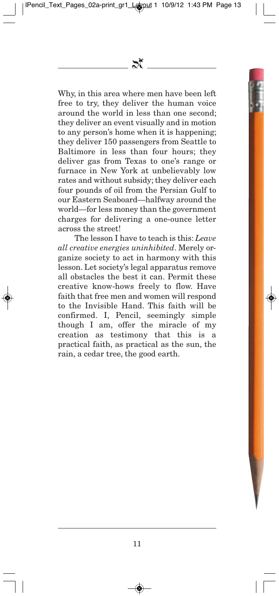Why, in this area where men have been left free to try, they deliver the human voice around the world in less than one second; they deliver an event visually and in motion to any person's home when it is happening; they deliver 150 passengers from Seattle to Baltimore in less than four hours; they deliver gas from Texas to one's range or furnace in New York at unbelievably low rates and without subsidy; they deliver each four pounds of oil from the Persian Gulf to our Eastern Seaboard—halfway around the world—for less money than the government charges for delivering a one-ounce letter

The lesson I have to teach is this: *Leave all creative energies uninhibited*. Merely organize society to act in harmony with this lesson. Let society's legal apparatus remove all obstacles the best it can. Permit these creative know-hows freely to flow. Have faith that free men and women will respond to the Invisible Hand. This faith will be confirmed. I, Pencil, seemingly simple though I am, offer the miracle of my creation as testimony that this is a practical faith, as practical as the sun, the rain, a cedar tree, the good earth.

across the street!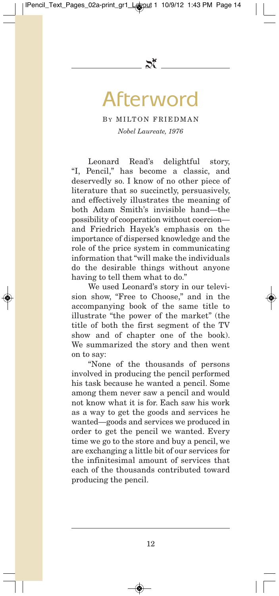$\mathbb{R}^n$ 

### **Afterword**

### BY MILTON FRIEDMAN *Nobel Laureate, 1976*

Leonard Read's delightful story, "I, Pencil," has become a classic, and deservedly so. I know of no other piece of literature that so succinctly, persuasively, and effectively illustrates the meaning of both Adam Smith's invisible hand—the possibility of cooperation without coercion and Friedrich Hayek's emphasis on the importance of dispersed knowledge and the role of the price system in communicating information that "will make the individuals do the desirable things without anyone having to tell them what to do."

We used Leonard's story in our television show, "Free to Choose," and in the accompanying book of the same title to illustrate "the power of the market" (the title of both the first segment of the TV show and of chapter one of the book). We summarized the story and then went on to say:

"None of the thousands of persons involved in producing the pencil performed his task because he wanted a pencil. Some among them never saw a pencil and would not know what it is for. Each saw his work as a way to get the goods and services he wanted—goods and services we produced in order to get the pencil we wanted. Every time we go to the store and buy a pencil, we are exchanging a little bit of our services for the infinitesimal amount of services that each of the thousands contributed toward producing the pencil.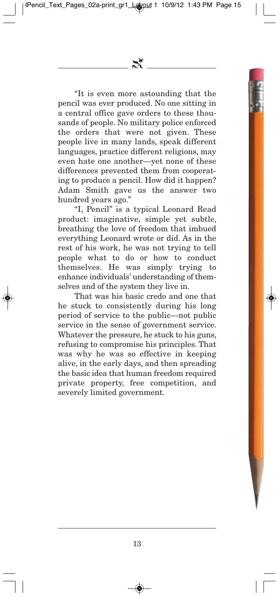$\mathbb{R}^n$ 

"It is even more astounding that the pencil was ever produced. No one sitting in a central office gave orders to these thousands of people. No military police enforced the orders that were not given. These people live in many lands, speak different languages, practice different religions, may even hate one another—yet none of these differences prevented them from cooperating to produce a pencil. How did it happen? Adam Smith gave us the answer two hundred years ago."

"I, Pencil" is a typical Leonard Read product: imaginative, simple yet subtle, breathing the love of freedom that imbued everything Leonard wrote or did. As in the rest of his work, he was not trying to tell people what to do or how to conduct themselves. He was simply trying to enhance individuals' understanding of themselves and of the system they live in.

That was his basic credo and one that he stuck to consistently during his long period of service to the public—not public service in the sense of government service. Whatever the pressure, he stuck to his guns, refusing to compromise his principles. That was why he was so effective in keeping alive, in the early days, and then spreading the basic idea that human freedom required private property, free competition, and severely limited government.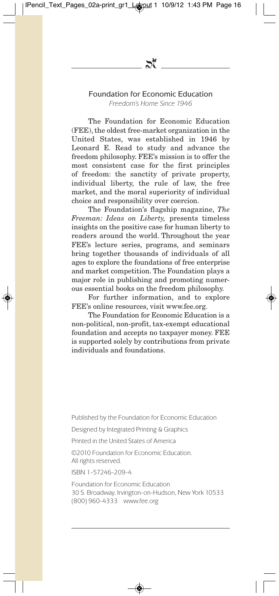$\mathbb{R}^n$ 

### Foundation for Economic Education *Freedom's Home Since 1946*

The Foundation for Economic Education (FEE), the oldest free-market organization in the United States, was established in 1946 by Leonard E. Read to study and advance the freedom philosophy. FEE's mission is to offer the most consistent case for the first principles of freedom: the sanctity of private property, individual liberty, the rule of law, the free market, and the moral superiority of individual choice and responsibility over coercion.

The Foundation's flagship magazine, *The Freeman: Ideas on Liberty,* presents timeless insights on the positive case for human liberty to readers around the world. Throughout the year FEE's lecture series, programs, and seminars bring together thousands of individuals of all ages to explore the foundations of free enterprise and market competition. The Foundation plays a major role in publishing and promoting numerous essential books on the freedom philosophy.

For further information, and to explore FEE's online resources, visit www.fee.org.

The Foundation for Economic Education is a non-political, non-profit, tax-exempt educational foundation and accepts no taxpayer money. FEE is supported solely by contributions from private individuals and foundations.

Published by the Foundation for Economic Education

Designed by Integrated Printing & Graphics

Printed in the United States of America

©2010 Foundation for Economic Education. All rights reserved.

ISBN 1-57246-209-4

Foundation for Economic Education 30 S. Broadway, Irvington-on-Hudson, New York 10533 (800) 960-4333 www.fee.org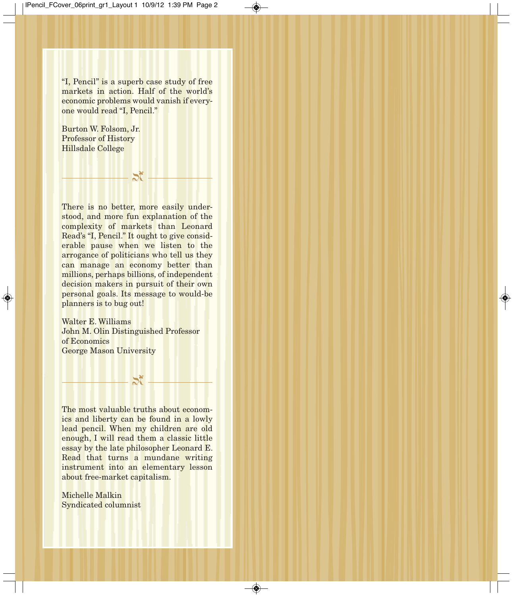"I, Pencil" is a superb case study of free markets in action. Half of the world's economic problems would vanish if everyone would read "I, Pencil."

 $S^r$ 

Burton W. Folsom, Jr. Professor of History Hillsdale College

◈

There is no better, more easily understood, and more fun explanation of the complexity of markets than Leonard Read's "I, Pencil." It ought to give considerable pause when we listen to the arrogance of politicians who tell us they can manage an economy better than millions, perhaps billions, of independent decision makers in pursuit of their own personal goals. Its message to would-be planners is to bug out!

 $\bigcirc$ 

Walter E. Williams John M. Olin Distinguished Professor of Economics George Mason University

The most valuable truths about economics and liberty can be found in a lowly lead pencil. When my children are old enough, I will read them a classic little essay by the late philosopher Leonard E. Read that turns a mundane writing instrument into an elementary lesson about free-market capitalism.

 $\overline{\bullet}$ 

 $S^r$ 

Michelle Malkin Syndicated columnist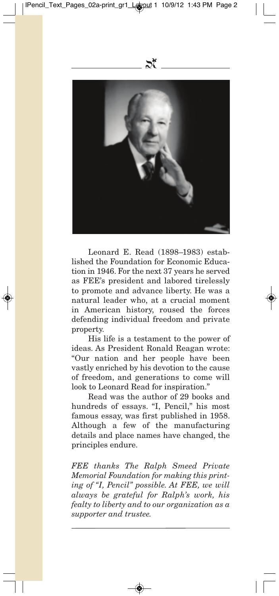

Leonard E. Read (1898–1983) established the Foundation for Economic Education in 1946. For the next 37 years he served as FEE's president and labored tirelessly to promote and advance liberty. He was a natural leader who, at a crucial moment in American history, roused the forces defending individual freedom and private property.

His life is a testament to the power of ideas. As President Ronald Reagan wrote: "Our nation and her people have been vastly enriched by his devotion to the cause of freedom, and generations to come will look to Leonard Read for inspiration."

Read was the author of 29 books and hundreds of essays. "I, Pencil," his most famous essay, was first published in 1958. Although a few of the manufacturing details and place names have changed, the principles endure.

*FEE thanks The Ralph Smeed Private Memorial Foundation for making this printing of "I, Pencil" possible. At FEE, we will always be grateful for Ralph's work, his fealty to liberty and to our organization as a supporter and trustee.*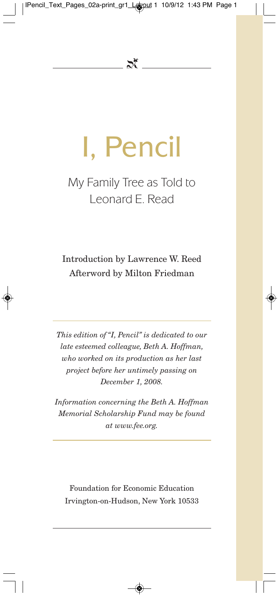# I, Pencil

### My Family Tree as Told to Leonard E. Read

Introduction by Lawrence W. Reed Afterword by Milton Friedman

*This edition of "I, Pencil" is dedicated to our late esteemed colleague, Beth A. Hoffman, who worked on its production as her last project before her untimely passing on December 1, 2008.*

*Information concerning the Beth A. Hoffman Memorial Scholarship Fund may be found at www.fee.org.*

Foundation for Economic Education Irvington-on-Hudson, New York 10533